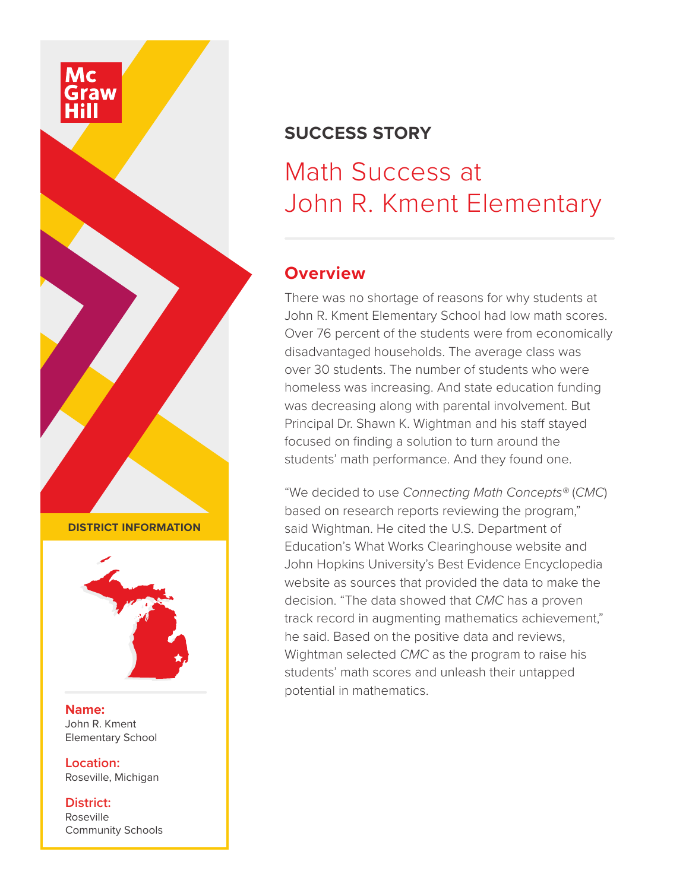

## **SUCCESS STORY**

# Math Success at John R. Kment Elementary

#### **Overview**

There was no shortage of reasons for why students at John R. Kment Elementary School had low math scores. Over 76 percent of the students were from economically disadvantaged households. The average class was over 30 students. The number of students who were homeless was increasing. And state education funding was decreasing along with parental involvement. But Principal Dr. Shawn K. Wightman and his staff stayed focused on finding a solution to turn around the students' math performance. And they found one.

"We decided to use *Connecting Math Concepts®* (*CMC*) based on research reports reviewing the program," said Wightman. He cited the U.S. Department of Education's What Works Clearinghouse website and John Hopkins University's Best Evidence Encyclopedia website as sources that provided the data to make the decision. "The data showed that *CMC* has a proven track record in augmenting mathematics achievement," he said. Based on the positive data and reviews, Wightman selected *CMC* as the program to raise his students' math scores and unleash their untapped potential in mathematics.

**DISTRICT INFORMATION**



**Name:** John R. Kment Elementary School

**Location:** Roseville, Michigan

**District:** Roseville Community Schools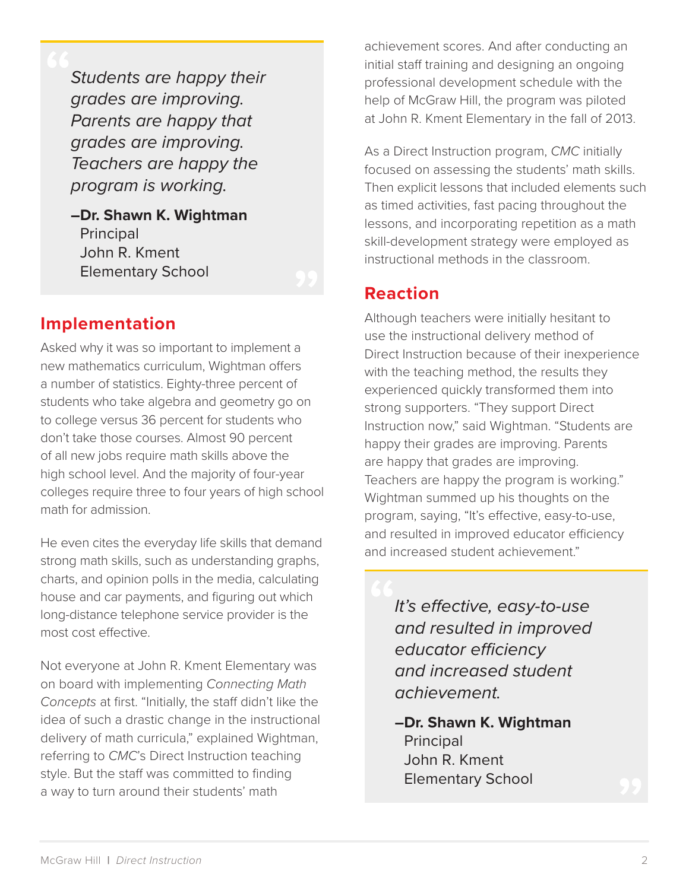*Students are happy their grades are improving. Parents are happy that grades are improving. Teachers are happy the program is working.*

**–Dr. Shawn K. Wightman**  Principal John R. Kment Elementary School

#### **Implementation**

Asked why it was so important to implement a new mathematics curriculum, Wightman offers a number of statistics. Eighty-three percent of students who take algebra and geometry go on to college versus 36 percent for students who don't take those courses. Almost 90 percent of all new jobs require math skills above the high school level. And the majority of four-year colleges require three to four years of high school math for admission.

He even cites the everyday life skills that demand strong math skills, such as understanding graphs, charts, and opinion polls in the media, calculating house and car payments, and figuring out which long-distance telephone service provider is the most cost effective.

Not everyone at John R. Kment Elementary was on board with implementing *Connecting Math Concepts* at first. "Initially, the staff didn't like the idea of such a drastic change in the instructional delivery of math curricula," explained Wightman, referring to *CMC*'s Direct Instruction teaching style. But the staff was committed to finding a way to turn around their students' math

achievement scores. And after conducting an initial staff training and designing an ongoing professional development schedule with the help of McGraw Hill, the program was piloted at John R. Kment Elementary in the fall of 2013.

As a Direct Instruction program, *CMC* initially focused on assessing the students' math skills. Then explicit lessons that included elements such as timed activities, fast pacing throughout the lessons, and incorporating repetition as a math skill-development strategy were employed as instructional methods in the classroom.

#### **Reaction**

Although teachers were initially hesitant to use the instructional delivery method of Direct Instruction because of their inexperience with the teaching method, the results they experienced quickly transformed them into strong supporters. "They support Direct Instruction now," said Wightman. "Students are happy their grades are improving. Parents are happy that grades are improving. Teachers are happy the program is working." Wightman summed up his thoughts on the program, saying, "It's effective, easy-to-use, and resulted in improved educator efficiency and increased student achievement."

> *It's effective, easy-to-use and resulted in improved educator efficiency and increased student achievement.*

**–Dr. Shawn K. Wightman**  Principal John R. Kment Elementary School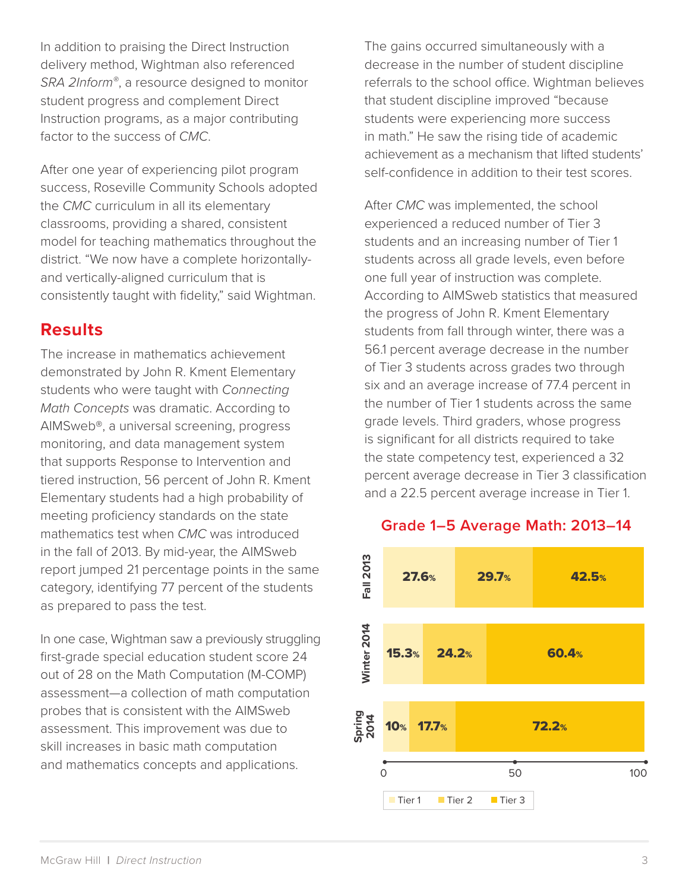In addition to praising the Direct Instruction delivery method, Wightman also referenced *SRA 2Inform®*, a resource designed to monitor student progress and complement Direct Instruction programs, as a major contributing factor to the success of *CMC*.

After one year of experiencing pilot program success, Roseville Community Schools adopted the *CMC* curriculum in all its elementary classrooms, providing a shared, consistent model for teaching mathematics throughout the district. "We now have a complete horizontallyand vertically-aligned curriculum that is consistently taught with fidelity," said Wightman.

#### **Results**

The increase in mathematics achievement demonstrated by John R. Kment Elementary students who were taught with *Connecting Math Concepts* was dramatic. According to AIMSweb®, a universal screening, progress monitoring, and data management system that supports Response to Intervention and tiered instruction, 56 percent of John R. Kment Elementary students had a high probability of meeting proficiency standards on the state mathematics test when *CMC* was introduced in the fall of 2013. By mid-year, the AIMSweb report jumped 21 percentage points in the same category, identifying 77 percent of the students as prepared to pass the test.

In one case, Wightman saw a previously struggling first-grade special education student score 24 out of 28 on the Math Computation (M-COMP) assessment—a collection of math computation probes that is consistent with the AIMSweb assessment. This improvement was due to skill increases in basic math computation and mathematics concepts and applications.

The gains occurred simultaneously with a decrease in the number of student discipline referrals to the school office. Wightman believes that student discipline improved "because students were experiencing more success in math." He saw the rising tide of academic achievement as a mechanism that lifted students' self-confidence in addition to their test scores.

After *CMC* was implemented, the school experienced a reduced number of Tier 3 students and an increasing number of Tier 1 students across all grade levels, even before one full year of instruction was complete. According to AIMSweb statistics that measured the progress of John R. Kment Elementary students from fall through winter, there was a 56.1 percent average decrease in the number of Tier 3 students across grades two through six and an average increase of 77.4 percent in the number of Tier 1 students across the same grade levels. Third graders, whose progress is significant for all districts required to take the state competency test, experienced a 32 percent average decrease in Tier 3 classification and a 22.5 percent average increase in Tier 1.



#### **Grade 1–5 Average Math: 2013–14**